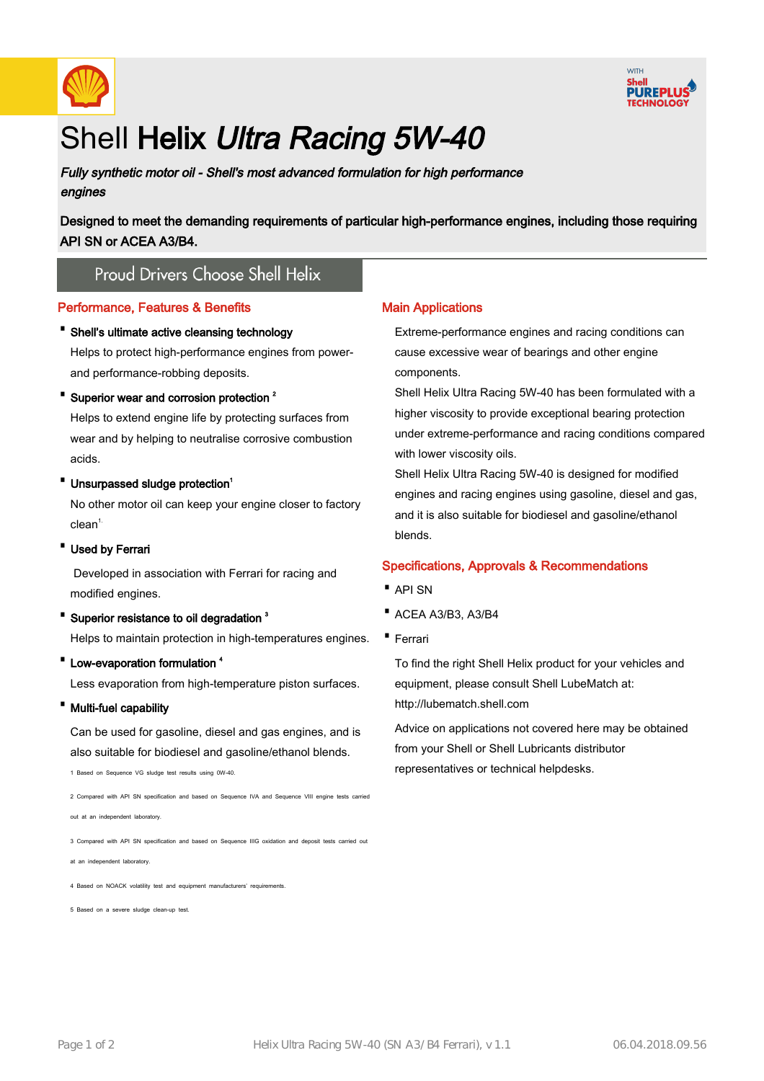



# Shell Helix Ultra Racing 5W-40

Fully synthetic motor oil - Shell's most advanced formulation for high performance engines

Designed to meet the demanding requirements of particular high-performance engines, including those requiring API SN or ACEA A3/B4.

# **Proud Drivers Choose Shell Helix**

#### Performance, Features & Benefits

· Shell's ultimate active cleansing technology

Helps to protect high-performance engines from powerand performance-robbing deposits.

• Superior wear and corrosion protection<sup>2</sup>

Helps to extend engine life by protecting surfaces from wear and by helping to neutralise corrosive combustion acids.

• Unsurpassed sludge protection<sup>1</sup>

No other motor oil can keep your engine closer to factory  $clean<sup>1</sup>$ 

· Used by Ferrari

 Developed in association with Ferrari for racing and modified engines.

• Superior resistance to oil degradation<sup>3</sup>

Helps to maintain protection in high-temperatures engines.

• Low-evaporation formulation <sup>4</sup>

Less evaporation from high-temperature piston surfaces.

· Multi-fuel capability

Can be used for gasoline, diesel and gas engines, and is also suitable for biodiesel and gasoline/ethanol blends.

1 Based on Sequence VG sludge test results using 0W-40.

2 Compared with API SN specification and based on Sequence IVA and Sequence VIII engine tests carrie

out at an independent laboratory.

3 Compared with API SN specification and based on Sequence IIIG oxidation and deposit tests carried out

at an independent laboratory.

4 Based on NOACK volatility test and equipment manufacturers' requirem

5 Based on a severe sludge clean-up test.

#### Main Applications

Extreme-performance engines and racing conditions can cause excessive wear of bearings and other engine components.

Shell Helix Ultra Racing 5W-40 has been formulated with a higher viscosity to provide exceptional bearing protection under extreme-performance and racing conditions compared with lower viscosity oils.

Shell Helix Ultra Racing 5W-40 is designed for modified engines and racing engines using gasoline, diesel and gas, and it is also suitable for biodiesel and gasoline/ethanol blends.

#### Specifications, Approvals & Recommendations

- · API SN
- · ACEA A3/B3, A3/B4
- · Ferrari

To find the right Shell Helix product for your vehicles and equipment, please consult Shell LubeMatch at: http://lubematch.shell.com

Advice on applications not covered here may be obtained from your Shell or Shell Lubricants distributor representatives or technical helpdesks.